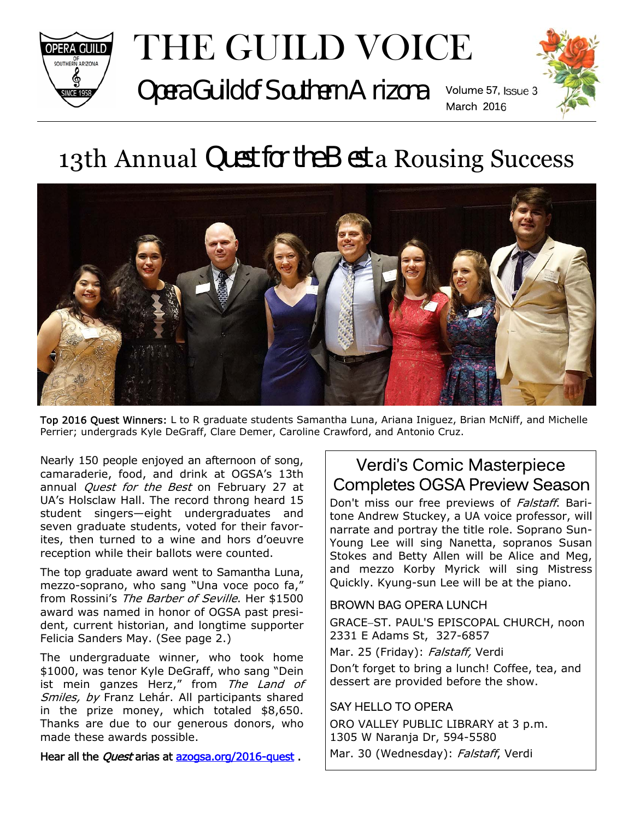

# THE GUILD VOICE

Opera Guild of Southern Arizona Volume 57, Issue 3



## 13th Annual Quest for the Best a Rousing Success



Top 2016 Quest Winners: L to R graduate students Samantha Luna, Ariana Iniguez, Brian McNiff, and Michelle Perrier; undergrads Kyle DeGraff, Clare Demer, Caroline Crawford, and Antonio Cruz.

Nearly 150 people enjoyed an afternoon of song, camaraderie, food, and drink at OGSA's 13th annual *Quest for the Best* on February 27 at UA's Holsclaw Hall. The record throng heard 15 student singers—eight undergraduates and seven graduate students, voted for their favorites, then turned to a wine and hors d'oeuvre reception while their ballots were counted.

The top graduate award went to Samantha Luna, mezzo-soprano, who sang "Una voce poco fa," from Rossini's The Barber of Seville. Her \$1500 award was named in honor of OGSA past president, current historian, and longtime supporter Felicia Sanders May. (See page 2.)

The undergraduate winner, who took home \$1000, was tenor Kyle DeGraff, who sang "Dein ist mein ganzes Herz," from The Land of Smiles, by Franz Lehár. All participants shared in the prize money, which totaled \$8,650. Thanks are due to our generous donors, who made these awards possible.

Hear all the *Quest* arias at azogsa.org/2016-quest.

## Verdi's Comic Masterpiece Completes OGSA Preview Season

Don't miss our free previews of Falstaff. Baritone Andrew Stuckey, a UA voice professor, will narrate and portray the title role. Soprano Sun-Young Lee will sing Nanetta, sopranos Susan Stokes and Betty Allen will be Alice and Meg, and mezzo Korby Myrick will sing Mistress Quickly. Kyung-sun Lee will be at the piano.

#### BROWN BAG OPERA LUNCH

GRACE-ST. PAUL'S EPISCOPAL CHURCH, noon 2331 E Adams St, 327-6857

Mar. 25 (Friday): Falstaff, Verdi

Don't forget to bring a lunch! Coffee, tea, and dessert are provided before the show.

#### SAY HELLO TO OPERA

ORO VALLEY PUBLIC LIBRARY at 3 p.m. 1305 W Naranja Dr, 594-5580 Mar. 30 (Wednesday): Falstaff, Verdi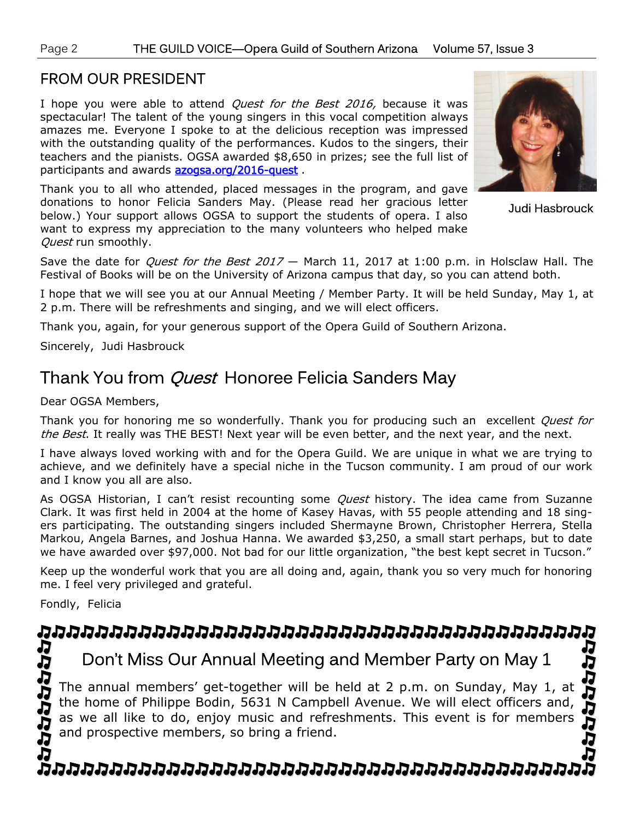#### FROM OUR PRESIDENT

I hope you were able to attend *Quest for the Best 2016,* because it was spectacular! The talent of the young singers in this vocal competition always amazes me. Everyone I spoke to at the delicious reception was impressed with the outstanding quality of the performances. Kudos to the singers, their teachers and the pianists. OGSA awarded \$8,650 in prizes; see the full list of participants and awards **azogsa.org/2016-quest**.

Thank you to all who attended, placed messages in the program, and gave donations to honor Felicia Sanders May. (Please read her gracious letter below.) Your support allows OGSA to support the students of opera. I also want to express my appreciation to the many volunteers who helped make Ouest run smoothly.



Judi Hasbrouck

JJ

Save the date for *Quest for the Best 2017* - March 11, 2017 at 1:00 p.m. in Holsclaw Hall. The Festival of Books will be on the University of Arizona campus that day, so you can attend both.

I hope that we will see you at our Annual Meeting / Member Party. It will be held Sunday, May 1, at 2 p.m. There will be refreshments and singing, and we will elect officers.

Thank you, again, for your generous support of the Opera Guild of Southern Arizona.

Sincerely, Judi Hasbrouck

## Thank You from *Quest* Honoree Felicia Sanders May

Dear OGSA Members,

Thank you for honoring me so wonderfully. Thank you for producing such an excellent *Quest for* the Best. It really was THE BEST! Next year will be even better, and the next year, and the next.

I have always loved working with and for the Opera Guild. We are unique in what we are trying to achieve, and we definitely have a special niche in the Tucson community. I am proud of our work and I know you all are also.

As OGSA Historian, I can't resist recounting some *Quest* history. The idea came from Suzanne Clark. It was first held in 2004 at the home of Kasey Havas, with 55 people attending and 18 singers participating. The outstanding singers included Shermayne Brown, Christopher Herrera, Stella Markou, Angela Barnes, and Joshua Hanna. We awarded \$3,250, a small start perhaps, but to date we have awarded over \$97,000. Not bad for our little organization, "the best kept secret in Tucson."

Keep up the wonderful work that you are all doing and, again, thank you so very much for honoring me. I feel very privileged and grateful.

Fondly, Felicia

#### Æ J

## Don't Miss Our Annual Meeting and Member Party on May 1

ひじじじょ The annual members' get-together will be held at 2 p.m. on Sunday, May 1, at the home of Philippe Bodin, 5631 N Campbell Avenue. We will elect officers and, as we all like to do, enjoy music and refreshments. This event is for members and prospective members, so bring a friend.

じじじじじょう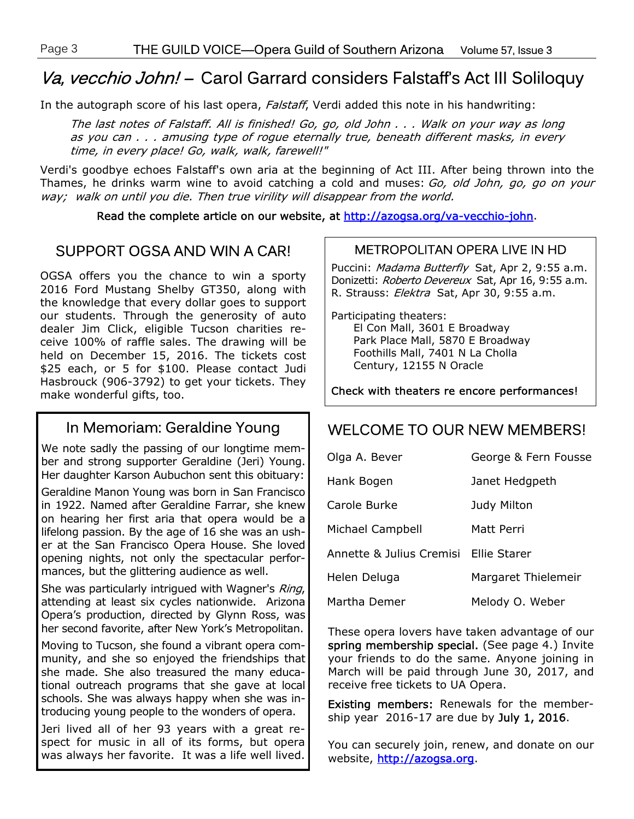## Va, vecchio John! - Carol Garrard considers Falstaff's Act III Soliloquy

In the autograph score of his last opera, Falstaff, Verdi added this note in his handwriting:

The last notes of Falstaff. All is finished! Go, go, old John . . . Walk on your way as long as you can . . . amusing type of rogue eternally true, beneath different masks, in every time, in every place! Go, walk, walk, farewell!"

Verdi's goodbye echoes Falstaff's own aria at the beginning of Act III. After being thrown into the Thames, he drinks warm wine to avoid catching a cold and muses: Go, old John, go, go on your way; walk on until you die. Then true virility will disappear from the world.

Read the complete article on our website, at http://azogsa.org/va-vecchio-john.

#### SUPPORT OGSA AND WIN A CAR!

OGSA offers you the chance to win a sporty 2016 Ford Mustang Shelby GT350, along with the knowledge that every dollar goes to support our students. Through the generosity of auto dealer Jim Click, eligible Tucson charities receive 100% of raffle sales. The drawing will be held on December 15, 2016. The tickets cost \$25 each, or 5 for \$100. Please contact Judi Hasbrouck (906-3792) to get your tickets. They make wonderful gifts, too.

#### In Memoriam: Geraldine Young

We note sadly the passing of our longtime member and strong supporter Geraldine (Jeri) Young. Her daughter Karson Aubuchon sent this obituary:

Geraldine Manon Young was born in San Francisco in 1922. Named after Geraldine Farrar, she knew on hearing her first aria that opera would be a lifelong passion. By the age of 16 she was an usher at the San Francisco Opera House. She loved opening nights, not only the spectacular performances, but the glittering audience as well.

She was particularly intrigued with Wagner's Ring, attending at least six cycles nationwide. Arizona Opera's production, directed by Glynn Ross, was her second favorite, after New York's Metropolitan.

Moving to Tucson, she found a vibrant opera community, and she so enjoyed the friendships that she made. She also treasured the many educational outreach programs that she gave at local schools. She was always happy when she was introducing young people to the wonders of opera.

Jeri lived all of her 93 years with a great respect for music in all of its forms, but opera was always her favorite. It was a life well lived.

#### METROPOLITAN OPERA LIVE IN HD

Puccini: Madama Butterfly Sat, Apr 2, 9:55 a.m. Donizetti: Roberto Devereux Sat, Apr 16, 9:55 a.m. R. Strauss: Elektra Sat, Apr 30, 9:55 a.m.

Participating theaters: El Con Mall, 3601 E Broadway Park Place Mall, 5870 E Broadway Foothills Mall, 7401 N La Cholla Century, 12155 N Oracle

Check with theaters re encore performances!

#### WELCOME TO OUR NEW MEMBERS!

| Olga A. Bever                         | George & Fern Fousse |
|---------------------------------------|----------------------|
| Hank Bogen                            | Janet Hedgpeth       |
| Carole Burke                          | Judy Milton          |
| Michael Campbell                      | Matt Perri           |
| Annette & Julius Cremisi Ellie Starer |                      |
| Helen Deluga                          | Margaret Thielemeir  |
| Martha Demer                          | Melody O. Weber      |

These opera lovers have taken advantage of our spring membership special. (See page 4.) Invite your friends to do the same. Anyone joining in March will be paid through June 30, 2017, and receive free tickets to UA Opera.

Existing members: Renewals for the membership year  $2016-17$  are due by July 1, 2016.

You can securely join, renew, and donate on our website, http://azogsa.org.